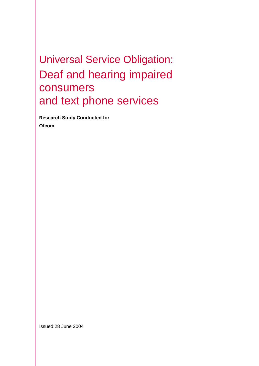Universal Service Obligation: Deaf and hearing impaired consumers and text phone services

**Research Study Conducted for Ofcom** 

Issued:28 June 2004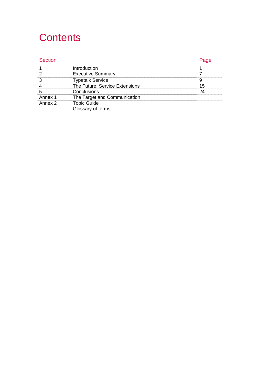## **Contents**

### Section **Page**

| Introduction                   |  |
|--------------------------------|--|
| <b>Executive Summary</b>       |  |
| netalk Service                 |  |
| The Future: Service Extensions |  |
| Conclusions                    |  |
| The Target and Communication   |  |
| Topic Guide                    |  |
|                                |  |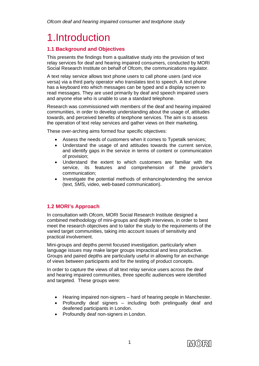## 1.Introduction

### **1.1 Background and Objectives**

This presents the findings from a qualitative study into the provision of text relay services for deaf and hearing impaired consumers, conducted by MORI Social Research Institute on behalf of Ofcom, the communications regulator.

A text relay service allows text phone users to call phone users (and vice versa) via a third party operator who translates text to speech. A text phone has a keyboard into which messages can be typed and a display screen to read messages. They are used primarily by deaf and speech impaired users and anyone else who is unable to use a standard telephone.

Research was commissioned with members of the deaf and hearing impaired communities, in order to develop understanding about the usage of, attitudes towards, and perceived benefits of textphone services. The aim is to assess the operation of text relay services and gather views on their marketing.

These over-arching aims formed four specific objectives:

- Assess the needs of customers when it comes to Typetalk services;
- Understand the usage of and attitudes towards the current service, and identify gaps in the service in terms of content or communication of provision;
- Understand the extent to which customers are familiar with the service, its features and comprehension of the provider's communication;
- Investigate the potential methods of enhancing/extending the service (text, SMS, video, web-based communication).

### **1.2 MORI's Approach**

In consultation with Ofcom, MORI Social Research Institute designed a combined methodology of mini-groups and depth interviews, in order to best meet the research objectives and to tailor the study to the requirements of the varied target communities, taking into account issues of sensitivity and practical involvement.

Mini-groups and depths permit focused investigation, particularly when language issues may make larger groups impractical and less productive. Groups and paired depths are particularly useful in allowing for an exchange of views between participants and for the testing of product concepts.

In order to capture the views of all text relay service users across the deaf and hearing impaired communities, three specific audiences were identified and targeted. These groups were:

- Hearing impaired non-signers hard of hearing people in Manchester.
- Profoundly deaf signers including both prelingually deaf and deafened participants in London.
- Profoundly deaf non-signers in London.

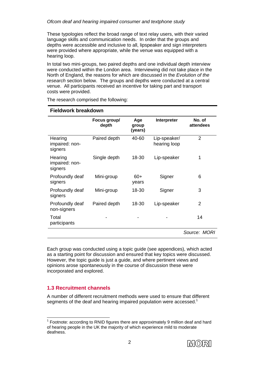These typologies reflect the broad range of text relay users, with their varied language skills and communication needs. In order that the groups and depths were accessible and inclusive to all, lipspeaker and sign interpreters were provided where appropriate, while the venue was equipped with a hearing loop.

In total two mini-groups, two paired depths and one individual depth interview were conducted within the London area. Interviewing did not take place in the North of England, the reasons for which are discussed in the *Evolution of the research* section below. The groups and depths were conducted at a central venue. All participants received an incentive for taking part and transport costs were provided.

| sian yi ku sakas                     |                       |                         |                              |                     |  |
|--------------------------------------|-----------------------|-------------------------|------------------------------|---------------------|--|
|                                      | Focus group/<br>depth | Age<br>group<br>(years) | Interpreter                  | No. of<br>attendees |  |
| Hearing<br>impaired: non-<br>signers | Paired depth          | 40-60                   | Lip-speaker/<br>hearing loop | 2                   |  |
| Hearing<br>impaired: non-<br>signers | Single depth          | 18-30                   | Lip-speaker                  | 1                   |  |
| Profoundly deaf<br>signers           | Mini-group            | $60+$<br>years          | Signer                       | 6                   |  |
| Profoundly deaf<br>signers           | Mini-group            | 18-30                   | Signer                       | 3                   |  |
| Profoundly deaf<br>non-signers       | Paired depth          | 18-30                   | Lip-speaker                  | $\overline{2}$      |  |
| Total<br>participants                |                       |                         |                              | 14                  |  |
|                                      |                       |                         |                              | Source: MORI        |  |

The research comprised the following:

**Fieldwork breakdown** 

Each group was conducted using a topic guide (see appendices), which acted as a starting point for discussion and ensured that key topics were discussed. However, the topic guide is just a guide, and where pertinent views and opinions arose spontaneously in the course of discussion these were incorporated and explored.

### **1.3 Recruitment channels**

A number of different recruitment methods were used to ensure that different segments of the deaf and hearing impaired population were accessed.<sup>1</sup>

  $1$  Footnote: according to RNID figures there are approximately 9 million deaf and hard of hearing people in the UK the majority of which experience mild to moderate deafness.

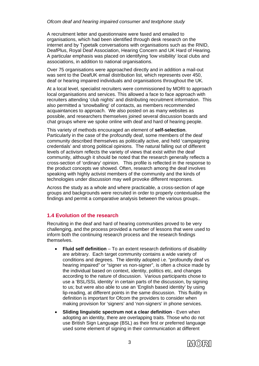A recruitment letter and questionnaire were faxed and emailed to organisations, which had been identified through desk research on the internet and by Typetalk conversations with organisations such as the RNID, DeafPlus, Royal Deaf Association, Hearing Concern and UK Hard of Hearing. A particular emphasis was placed on identifying 'low visibility' local clubs and associations, in addition to national organisations.

Over 75 organisations were approached directly and in addition a mail-out was sent to the DeafUK email distribution list, which represents over 450, deaf or hearing impaired individuals and organisations throughout the UK.

At a local level, specialist recruiters were commissioned by MORI to approach local organisations and services. This allowed a face to face approach with recruiters attending 'club nights' and distributing recruitment information. This also permitted a 'snowballing' of contacts, as members recommended acquaintances to approach. We also posted on as many websites as possible, and researchers themselves joined several discussion boards and chat groups where we spoke online with deaf and hard of hearing people.

This variety of methods encouraged an element of **self-selection**. Particularly in the case of the profoundly deaf, some members of the deaf community described themselves as politically active, and held 'campaigning credentials' and strong political opinions. The natural falling out of different levels of activism reflects the variety of views that exist within the deaf community, although it should be noted that the research generally reflects a cross-section of 'ordinary' opinion. This profile is reflected in the response to the product concepts we showed. Often, research among the deaf involves speaking with highly activist members of the community and the kinds of technologies under discussion may well provoke different responses.

Across the study as a whole and where practicable, a cross-section of age groups and backgrounds were recruited in order to properly contextualise the findings and permit a comparative analysis between the various groups..

### **1.4 Evolution of the research**

Recruiting in the deaf and hard of hearing communities proved to be very challenging, and the process provided a number of lessons that were used to inform both the continuing research process and the research findings themselves.

- **Fluid self definition** To an extent research definitions of disability are arbitrary. Each target community contains a wide variety of conditions and degrees. The identity adopted i.e. "profoundly deaf vs hearing impaired" or "signer vs non-signer", is often a choice made by the individual based on context, identity, politics etc, and changes according to the nature of discussion. Various participants chose to use a 'BSL/SSL identity' in certain parts of the discussion, by signing to us; but were also able to use an 'English based identity' by using lip-reading, at different points in the same discussion. This fluidity in definition is important for Ofcom the providers to consider when making provision for 'signers' and 'non-signers' in phone services.
- **Sliding linguistic spectrum not a clear definition Even when** adopting an identity, there are overlapping traits. Those who do not use British Sign Language (BSL) as their first or preferred language used some element of signing in their communication at different

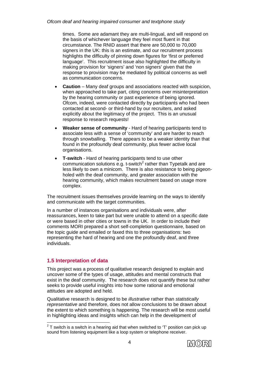times. Some are adamant they are multi-lingual, and will respond on the basis of whichever language they feel most fluent in that circumstance. The RNID assert that there are 50,000 to 70,000 signers in the UK: this is an estimate, and our recruitment process highlights the difficulty of pinning down figures for 'first or preferred language'. This recruitment issue also highlighted the difficulty in making provision for 'signers' and 'non signers' given that the response to provision may be mediated by political concerns as well as communication concerns.

- **Caution** Many deaf groups and associations reacted with suspicion, when approached to take part, citing concerns over misinterpretation by the hearing community or past experience of being ignored. Ofcom, indeed, were contacted directly by participants who had been contacted at second- or third-hand by our recruiters, and asked explicitly about the legitimacy of the project. This is an unusual response to research requests!
- **Weaker sense of community** Hard of hearing participants tend to associate less with a sense of 'community' and are harder to reach through snowballing. There appears to be a weaker identity than that found in the profoundly deaf community, plus fewer active local organisations.
- **T-switch** Hard of hearing participants tend to use other communication solutions e.g. t-switch<sup>2</sup> rather than Typetalk and are less likely to own a minicom. There is also resistance to being pigeonholed with the deaf community, and greater association with the hearing community, which makes recruitment based on usage more complex.

The recruitment issues themselves provide learning on the ways to identify and communicate with the target communities.

In a number of instances organisations and individuals were, after reassurances, keen to take part but were unable to attend on a specific date or were based in other cities or towns in the UK. In order to include their comments MORI prepared a short self-completion questionnaire, based on the topic guide and emailed or faxed this to three organisations: two representing the hard of hearing and one the profoundly deaf, and three individuals.

### **1.5 Interpretation of data**

This project was a process of qualitative research designed to explain and uncover some of the types of usage, attitudes and mental constructs that exist in the deaf community. The research does not quantify these but rather seeks to provide useful insights into how some rational and emotional attitudes are adopted and held.

Qualitative research is designed to be *illustrative* rather than *statistically representative* and therefore, does not allow conclusions to be drawn about the extent to which something is happening. The research will be most useful in highlighting ideas and insights which can help in the development of

 $\frac{1}{2}$  T switch is a switch in a hearing aid that when switched to 'T' position can pick up sound from listening equipment like a loop system or telephone receiver.

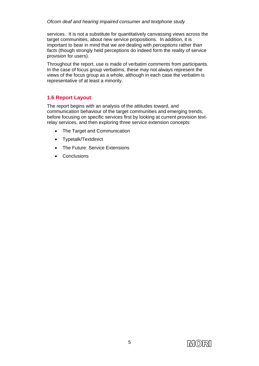services. It is not a substitute for quantitatively canvassing views across the target communities, about new service propositions. In addition, it is important to bear in mind that we are dealing with *perceptions* rather than *facts* (though strongly held perceptions do indeed form the reality of service provision for users).

Throughout the report, use is made of verbatim comments from participants. In the case of focus group verbatims, these may not always represent the views of the focus group as a whole, although in each case the verbatim is representative of at least a minority.

### **1.6 Report Layout**

The report begins with an analysis of the attitudes toward, and communication behaviour of the target communities and emerging trends, before focusing on specific services first by looking at current provision textrelay services, and then exploring three service extension concepts:

- The Target and Communication
- Typetalk/Textdirect
- The Future: Service Extensions
- Conclusions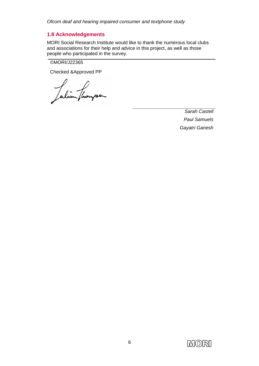### **1.8 Acknowledgements**

MORI Social Research Institute would like to thank the numerous local clubs and associations for their help and advice in this project, as well as those people who participated in the survey.

©MORI/J22365

Checked &Approved PP

Julian fluorpa

*Sarah Castell Paul Samuels Gayatri Ganesh*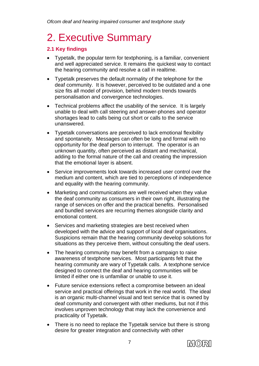# 2. Executive Summary

### **2.1 Key findings**

- Typetalk, the popular term for textphoning, is a familiar, convenient and well appreciated service. It remains the quickest way to contact the hearing community and resolve a call in realtime.
- Typetalk preserves the default normality of the telephone for the deaf community. It is however, perceived to be outdated and a one size fits all model of provision, behind modern trends towards personalisation and convergence technologies.
- Technical problems affect the usability of the service. It is largely unable to deal with call steering and answer-phones and operator shortages lead to calls being cut short or calls to the service unanswered.
- Typetalk conversations are perceived to lack emotional flexibility and spontaneity. Messages can often be long and formal with no opportunity for the deaf person to interrupt. The operator is an unknown quantity, often perceived as distant and mechanical, adding to the formal nature of the call and creating the impression that the emotional layer is absent.
- Service improvements look towards increased user control over the medium and content, which are tied to perceptions of independence and equality with the hearing community.
- Marketing and communications are well received when they value the deaf community as consumers in their own right, illustrating the range of services on offer and the practical benefits. Personalised and bundled services are recurring themes alongside clarity and emotional content.
- Services and marketing strategies are best received when developed with the advice and support of local deaf organisations. Suspicions remain that the hearing community develop solutions for situations as they perceive them, without consulting the deaf users.
- The hearing community may benefit from a campaign to raise awareness of textphone services. Most participants felt that the hearing community are wary of Typetalk calls. A textphone service designed to connect the deaf and hearing communities will be limited if either one is unfamiliar or unable to use it.
- Future service extensions reflect a compromise between an ideal service and practical offerings that work in the real world. The ideal is an organic multi-channel visual and text service that is owned by deaf community and convergent with other mediums, but not if this involves unproven technology that may lack the convenience and practicality of Typetalk.
- There is no need to replace the Typetalk service but there is strong desire for greater integration and connectivity with other

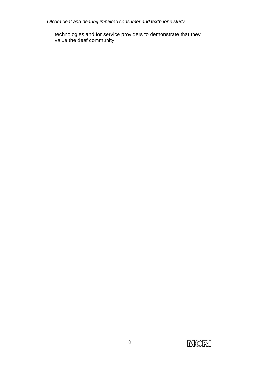technologies and for service providers to demonstrate that they value the deaf community.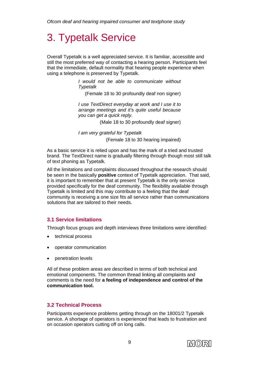# 3. Typetalk Service

Overall Typetalk is a well appreciated service. It is familiar, accessible and still the most preferred way of contacting a hearing person. Participants feel that the immediate, default normality that hearing people experience when using a telephone is preserved by Typetalk.

> *I would not be able to communicate without Typetalk*

(Female 18 to 30 profoundly deaf non signer)

*I use TextDirect everyday at work and I use it to arrange meetings and it's quite useful because you can get a quick reply.* 

(Male 18 to 30 profoundly deaf signer)

*I am very grateful for Typetalk*  (Female 18 to 30 hearing impaired)

As a basic service it is relied upon and has the mark of a tried and trusted brand. The TextDirect name is gradually filtering through though most still talk of text phoning as Typetalk.

All the limitations and complaints discussed throughout the research should be seen in the basically **positive** context of Typetalk appreciation. That said, it is important to remember that at present Typetalk is the only service provided specifically for the deaf community. The flexibility available through Typetalk is limited and this may contribute to a feeling that the deaf community is receiving a one size fits all service rather than communications solutions that are tailored to their needs.

### **3.1 Service limitations**

Through focus groups and depth interviews three limitations were identified:

- technical process
- operator communication
- penetration levels

All of these problem areas are described in terms of both technical and emotional components. The common thread linking all complaints and comments is the need for **a feeling of independence and control of the communication tool.**

### **3.2 Technical Process**

Participants experience problems getting through on the 18001/2 Typetalk service. A shortage of operators is experienced that leads to frustration and on occasion operators cutting off on long calls.

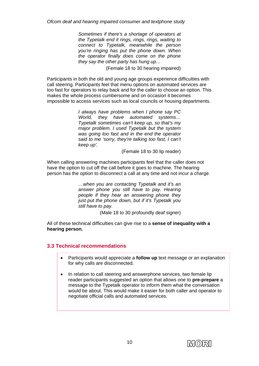*Sometimes if there's a shortage of operators at the Typetalk end it rings, rings, rings, waiting to connect to Typetalk, meanwhile the person you're ringing has put the phone down. When the operator finally does come on the phone they say the other party has hung up…* 

(Female 18 to 30 hearing impaired)

Participants in both the old and young age groups experience difficulties with call steering. Participants feel that menu options on automated services are too fast for operators to relay back and for the caller to choose an option. This makes the whole process cumbersome and on occasion it becomes impossible to access services such as local councils or housing departments.

> *I always have problems when I phone say PC World, they have automated systems… Typetalk sometimes can't keep up, so that's my major problem. I used Typetalk but the system was going too fast and in the end the operator said to me 'sorry, they're talking too fast, I can't keep up'.*

> > (Female 18 to 30 lip reader)

When calling answering machines participants feel that the caller does not have the option to cut off the call before it goes to machine. The hearing person has the option to disconnect a call at any time and not incur a charge.

> *…when you are contacting Typetalk and it's an answer phone you still have to pay. Hearing people if they hear an answering phone they just put the phone down, but if it's Typetalk you still have to pay.*

> > (Male 18 to 30 profoundly deaf signer)

All of these technical difficulties can give rise to a **sense of inequality with a hearing person.** 

### **3.3 Technical recommendations**

- Participants would appreciate a **follow up** text message or an explanation for why calls are disconnected.
- In relation to call steering and answerphone services, two female lip reader participants suggested an option that allows one to **pre-prepare** a message to the Typetalk operator to inform them what the conversation would be about. This would make it easier for both caller and operator to negotiate official calls and automated services.

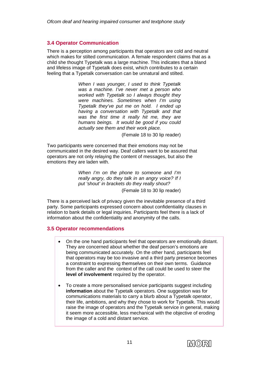### **3.4 Operator Communication**

There is a perception among participants that operators are cold and neutral which makes for stilted communication. A female respondent claims that as a child she thought Typetalk was a large machine. This indicates that a bland and lifeless image of Typetalk does exist, which contributes to a certain feeling that a Typetalk conversation can be unnatural and stilted.

> *When I was younger, I used to think Typetalk was a machine. I've never met a person who worked with Typetalk so I always thought they were machines. Sometimes when I'm using Typetalk they've put me on hold. I ended up having a conversation with Typetalk and that was the first time it really hit me, they are humans beings. It would be good if you could actually see them and their work place.*

> > (Female 18 to 30 lip reader)

Two participants were concerned that their emotions may not be communicated in the desired way. Deaf callers want to be assured that operators are not only relaying the content of messages, but also the emotions they are laden with.

> *When I'm on the phone to someone and I'm really angry, do they talk in an angry voice? If I put 'shout' in brackets do they really shout?*  (Female 18 to 30 lip reader)

There is a perceived lack of privacy given the inevitable presence of a third party. Some participants expressed concern about confidentiality clauses in relation to bank details or legal inquiries. Participants feel there is a lack of information about the confidentiality and anonymity of the calls.

### **3.5 Operator recommendations**

- On the one hand participants feel that operators are emotionally distant. They are concerned about whether the deaf person's emotions are being communicated accurately. On the other hand, participants feel that operators may be too invasive and a third party presence becomes a constraint to expressing themselves on their own terms. Guidance from the caller and the context of the call could be used to steer the **level of involvement** required by the operator.
- To create a more personalised service participants suggest including **information** about the Typetalk operators. One suggestion was for communications materials to carry a blurb about a Typetalk operator, their life, ambitions, and why they chose to work for Typetalk. This would raise the image of operators and the Typetalk service in general, making it seem more accessible, less mechanical with the objective of eroding the image of a cold and distant service.

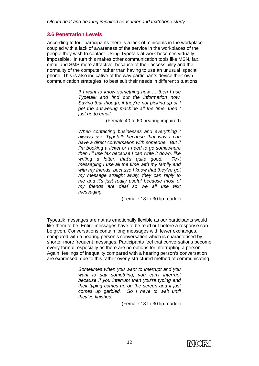### **3.6 Penetration Levels**

According to four participants there is a lack of minicoms in the workplace coupled with a lack of awareness of the service in the workplaces of the people they wish to contact. Using Typetalk at work becomes virtually impossible. In turn this makes other communication tools like MSN, fax, email and SMS more attractive, because of their accessibility and the normality of the computer rather than having to use an unusual 'special' phone. This is also indicative of the way participants devise their own communication strategies, to best suit their needs in different situations.

> *If I want to know something now … then I use Typetalk and find out the information now. Saying that though, if they're not picking up or I get the answering machine all the time, then I just go to email.*

> > (Female 40 to 60 hearing impaired)

*When contacting businesses and everything I always use Typetalk because that way I can have a direct conversation with someone. But if I'm booking a ticket or I need to go somewhere then I'll use fax because I can write it down, like writing a letter, that's quite good. Text messaging I use all the time with my family and with my friends, because I know that they've got my message straight away, they can reply to me and it's just really useful because most of my friends are deaf so we all use text messaging.* 

(Female 18 to 30 lip reader)

Typetalk messages are not as emotionally flexible as our participants would like them to be. Entire messages have to be read out before a response can be given. Conversations contain long messages with fewer exchanges, compared with a hearing person's conversation which is characterised by shorter more frequent messages. Participants feel that conversations become overly formal, especially as there are no options for interrupting a person. Again, feelings of inequality compared with a hearing person's conversation are expressed, due to this rather overly-structured method of communicating.

> *Sometimes when you want to interrupt and you want to say something, you can't interrupt because if you interrupt then you're typing and their typing comes up on the screen and it just comes up garbled. So I have to wait until they've finished.*

> > (Female 18 to 30 lip reader)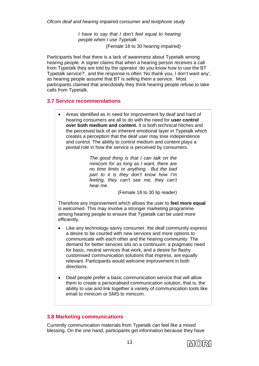*I have to say that I don't feel equal to hearing people when I use Typetalk*  (Female 18 to 30 hearing impaired)

Participants feel that there is a lack of awareness about Typetalk among hearing people. A signer claims that when a hearing person receives a call from Typetalk they are told by the operator 'do you know how to use the BT Typetalk service?', and the response is often 'No thank you, I don't want any', as hearing people assume that BT is selling them a service. Most participants claimed that anecdotally they think hearing people refuse to take calls from Typetalk.

### **3.7 Service recommendations**

• Areas identified as in need for improvement by deaf and hard of hearing consumers are all to do with the need for **user control over both medium and content.** It is both technical hitches and the perceived lack of an inherent emotional layer in Typetalk which creates a perception that the deaf user may lose independence and control. The ability to control medium and content plays a pivotal role in how the service is perceived by consumers.

> *The good thing is that I can talk on the minicom for as long as I want, there are no time limits or anything. But the bad part to it is they don't know how I'm feeling, they can't see me, they can't hear me.*

> > (Female 18 to 30 lip reader)

Therefore any improvement which allows the user to **feel more equal** is welcomed. This may involve a stronger marketing programme among hearing people to ensure that Typetalk can be used more efficiently.

- Like any technology-savvy consumer, the deaf community express a desire to be courted with new services and more options to communicate with each other and the hearing community. The demand for better services sits on a continuum: a pragmatic need for basic, neutral services that work, and a desire for flashy customised communication solutions that impress, are equally relevant. Participants would welcome improvement in both directions.
- Deaf people prefer a basic communication service that will allow them to create a personalised communication solution, that is, the ability to use and link together a variety of communication tools like email to minicom or SMS to minicom.

### **3.8 Marketing communications**

Currently communication materials from Typetalk can feel like a mixed blessing. On the one hand, participants get information because they have

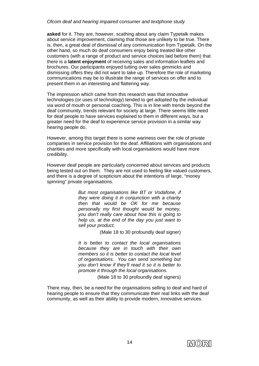**asked** for it. They are, however, scathing about any claim Typetalk makes about service improvement, claiming that those are unlikely to be true. There is, then, a great deal of dismissal of any communication from Typetalk. On the other hand, so much do deaf consumers enjoy being treated like other customers (with a range of product and service choices laid before them) that there is a **latent enjoyment** of receiving sales and information leaflets and brochures. Our participants enjoyed tutting over sales gimmicks and dismissing offers they did not want to take up. Therefore the role of marketing communications may be to illustrate the range of services on offer and to present them in an interesting and flattering way.

The impression which came from this research was that innovative technologies (or uses of technology) tended to get adopted by the individual via word of mouth or personal coaching. This is in line with trends beyond the deaf community, trends relevant for society at large. There seems little need for deaf people to have services explained to them in different ways, but a greater need for the deaf to experience service provision in a similar way hearing people do.

However, among this target there is some wariness over the role of private companies in service provision for the deaf. Affiliations with organisations and charities and more specifically with local organisations would have more credibility.

However deaf people are particularly concerned about services and products being tested out on them. They are not used to feeling like valued customers, and there is a degree of scepticism about the intentions of large, "money spinning" private organisations.

> *But most organisations like BT or Vodafone, if they were doing it in conjunction with a charity then that would be OK for me because personally my first thought would be money, you don't really care about how this is going to help us, at the end of the day you just want to sell your product.*

> > (Male 18 to 30 profoundly deaf signer)

*It is better to contact the local organisations because they are in touch with their own members so it is better to contact the local level of organisations. You can send something but you don't know if they'll read it so it is better to promote it through the local organisations.* 

(Male 18 to 30 profoundly deaf signers)

There may, then, be a need for the organisations selling to deaf and hard of hearing people to ensure that they communicate their real links with the deaf community, as well as their ability to provide modern, innovative services.

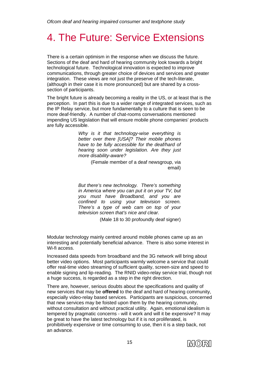# 4. The Future: Service Extensions

There is a certain optimism in the response when we discuss the future. Sections of the deaf and hard of hearing community look towards a bright technological future. Technological innovation is expected to improve communications, through greater choice of devices and services and greater integration. These views are not just the preserve of the tech-literate, (although in their case it is more pronounced) but are shared by a crosssection of participants.

The bright future is already becoming a reality in the US, or at least that is the perception. In part this is due to a wider range of integrated services, such as the IP Relay service, but more fundamentally to a culture that is seen to be more deaf-friendly. A number of chat-rooms conversations mentioned impending US legislation that will ensure mobile phone companies' products are fully accessible.

> *Why is it that technology-wise everything is better over there [USA]? Their mobile phones have to be fully accessible for the deaf/hard of hearing soon under legislation. Are they just more disability-aware?*

> > (Female member of a deaf newsgroup, via email)

*But there's new technology. There's something in America where you can put it on your TV, but you must have Broadband, and you are confined to using your television screen. There's a type of web cam on top of your television screen that's nice and clear.* 

(Male 18 to 30 profoundly deaf signer)

Modular technology mainly centred around mobile phones came up as an interesting and potentially beneficial advance. There is also some interest in Wi-fi access.

Increased data speeds from broadband and the 3G network will bring about better video options. Most participants warmly welcome a service that could offer real-time video streaming of sufficient quality, screen-size and speed to enable signing and lip-reading. The RNID video-relay service trial, though not a huge success, is regarded as a step in the right direction.

There are, however, serious doubts about the specifications and quality of new services that may be **offered** to the deaf and hard of hearing community, especially video-relay based services. Participants are suspicious, concerned that new services may be foisted upon them by the hearing community, without consultation and without practical utility. Again, emotional idealism is tempered by pragmatic concerns - will it work and will it be expensive? It may be great to have the latest technology but if it is not proliferated, is prohibitively expensive or time consuming to use, then it is a step back, not an advance.

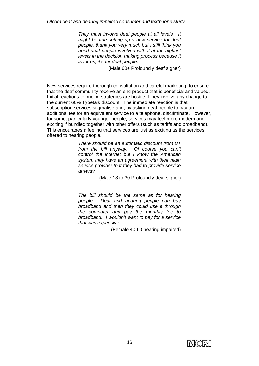*They must involve deaf people at all levels. It might be fine setting up a new service for deaf people, thank you very much but I still think you need deaf people involved with it at the highest levels in the decision making process because it is for us, it's for deaf people.* 

(Male 60+ Profoundly deaf signer)

New services require thorough consultation and careful marketing, to ensure that the deaf community receive an end product that is beneficial and valued. Initial reactions to pricing strategies are hostile if they involve any change to the current 60% Typetalk discount. The immediate reaction is that subscription services stigmatise and, by asking deaf people to pay an additional fee for an equivalent service to a telephone, discriminate. However, for some, particularly younger people, services may feel more modern and exciting if bundled together with other offers (such as tariffs and broadband). This encourages a feeling that services are just as exciting as the services offered to hearing people.

> *There should be an automatic discount from BT from the bill anyway. Of course you can't control the internet but I know the American system they have an agreement with their main service provider that they had to provide service anyway.*

> > (Male 18 to 30 Profoundly deaf signer)

*The bill should be the same as for hearing people. Deaf and hearing people can buy broadband and then they could use it through the computer and pay the monthly fee to broadband. I wouldn't want to pay for a service that was expensive.* 

(Female 40-60 hearing impaired)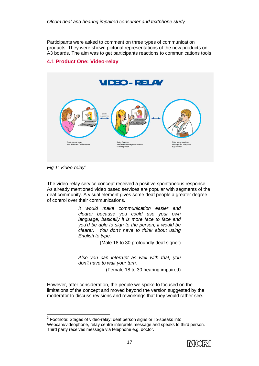Participants were asked to comment on three types of communication products. They were shown pictorial representations of the new products on A3 boards. The aim was to get participants reactions to communications tools

### **4.1 Product One: Video-relay**



*Fig 1: Video-relay3*

The video-relay service concept received a positive spontaneous response. As already mentioned video based services are popular with segments of the deaf community. A visual element gives some deaf people a greater degree of control over their communications.

> *It would make communication easier and clearer because you could use your own language, basically it is more face to face and you'd be able to sign to the person, it would be clearer. You don't have to think about using English to type.*

> > (Male 18 to 30 profoundly deaf signer)

*Also you can interrupt as well with that, you don't have to wait your turn.* 

(Female 18 to 30 hearing impaired)

However, after consideration, the people we spoke to focused on the limitations of the concept and moved beyond the version suggested by the moderator to discuss revisions and reworkings that they would rather see.

<sup>&</sup>lt;sup>3</sup> Footnote: Stages of video-relay: deaf person signs or lip-speaks into Webcam/videophone, relay centre interprets message and speaks to third person. Third party receives message via telephone e.g. doctor.

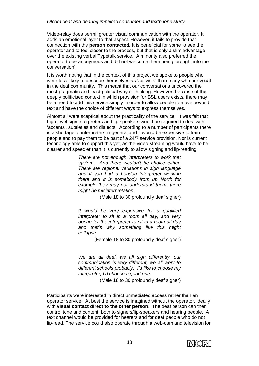Video-relay does permit greater visual communication with the operator. It adds an emotional layer to that aspect. However, it fails to provide that connection with the **person contacted.** It is beneficial for some to see the operator and to feel closer to the process, but that is only a slim advantage over the existing verbal Typetalk service. A minority also preferred the operator to be anonymous and did not welcome them being 'brought into the conversation'.

It is worth noting that in the context of this project we spoke to people who were less likely to describe themselves as 'activists' than many who are vocal in the deaf community. This meant that our conversations uncovered the most pragmatic and least political way of thinking. However, because of the deeply politicised context in which provision for BSL users exists, there may be a need to add this service simply in order to allow people to move beyond text and have the choice of different ways to express themselves.

Almost all were sceptical about the practicality of the service. It was felt that high level sign interpreters and lip-speakers would be required to deal with 'accents', subtleties and dialects. According to a number of participants there is a shortage of interpreters in general and it would be expensive to train people and to pay them to be part of a 24/7 service provision. Nor is current technology able to support this yet, as the video-streaming would have to be clearer and speedier than it is currently to allow signing and lip-reading.

> *There are not enough interpreters to work that system. And there wouldn't be choice either. There are regional variations in sign language and if you had a London interpreter working there and it is somebody from up North for example they may not understand them, there might be misinterpretation.*

> > (Male 18 to 30 profoundly deaf signer)

*It would be very expensive for a qualified interpreter to sit in a room all day, and very boring for the interpreter to sit in a room all day and that's why something like this might collapse* 

(Female 18 to 30 profoundly deaf signer)

*We are all deaf, we all sign differently, our communication is very different, we all went to different schools probably. I'd like to choose my interpreter, I'd choose a good one.* 

(Male 18 to 30 profoundly deaf signer)

Participants were interested in direct unmediated access rather than an operator service. At best the service is imagined without the operator, ideally with **visual contact direct to the other person**. The deaf person can then control tone and content, both to signers/lip-speakers and hearing people. A text channel would be provided for hearers and for deaf people who do not lip-read. The service could also operate through a web-cam and television for

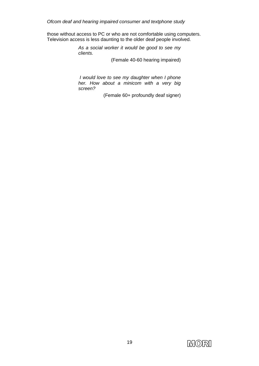those without access to PC or who are not comfortable using computers. Television access is less daunting to the older deaf people involved.

> *As a social worker it would be good to see my clients.*

> > (Female 40-60 hearing impaired)

 *I would love to see my daughter when I phone her. How about a minicom with a very big screen?* 

(Female 60+ profoundly deaf signer)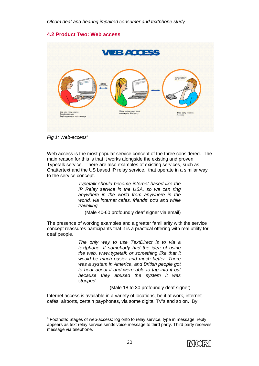### **4.2 Product Two: Web access**



*Fig 1: Web-access4*

Web access is the most popular service concept of the three considered. The main reason for this is that it works alongside the existing and proven Typetalk service. There are also examples of existing services, such as Chattertext and the US based IP relay service, that operate in a similar way to the service concept.

> *Typetalk should become internet based like the IP Relay service in the USA, so we can ring anywhere in the world from anywhere in the world, via internet cafes, friends' pc's and while travelling.*

(Male 40-60 profoundly deaf signer via email)

The presence of working examples and a greater familiarity with the service concept reassures participants that it is a practical offering with real utility for deaf people.

> *The only way to use TextDirect is to via a textphone. If somebody had the idea of using the web, www.typetalk or something like that it would be much easier and much better. There was a system in America, and British people got to hear about it and were able to tap into it but because they abused the system it was stopped.*

> > (Male 18 to 30 profoundly deaf signer)

Internet access is available in a variety of locations, be it at work, internet cafés, airports, certain payphones, via some digital TV's and so on. By

 <sup>4</sup> Footnote: Stages of web-access: log onto to relay service, type in message; reply appears as text relay service sends voice message to third party. Third party receives message via telephone.

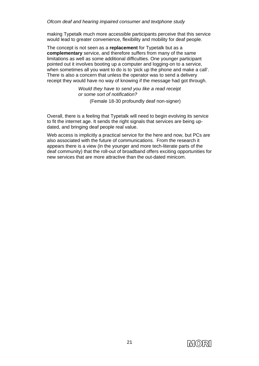making Typetalk much more accessible participants perceive that this service would lead to greater convenience, flexibility and mobility for deaf people.

The concept is not seen as a **replacement** for Typetalk but as a **complementary** service, and therefore suffers from many of the same limitations as well as some additional difficulties. One younger participant pointed out it involves booting up a computer and logging-on to a service, when sometimes all you want to do is to 'pick up the phone and make a call'. There is also a concern that unless the operator was to send a delivery receipt they would have no way of knowing if the message had got through.

> *Would they have to send you like a read receipt or some sort of notification?*

> > (Female 18-30 profoundly deaf non-signer)

Overall, there is a feeling that Typetalk will need to begin evolving its service to fit the internet age. It sends the right signals that services are being updated, and bringing deaf people real value.

Web access is implicitly a practical service for the here and now, but PCs are also associated with the future of communications. From the research it appears there is a view (in the younger and more tech-literate parts of the deaf community) that the roll-out of broadband offers exciting opportunities for new services that are more attractive than the out-dated minicom.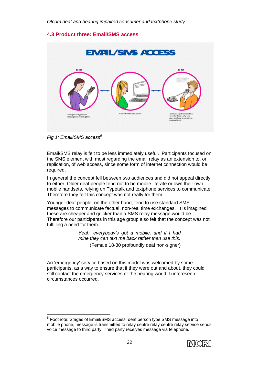### **4.3 Product three: Email/SMS access**



*Fig 1: Email/SMS access<sup>5</sup>*

Email/SMS relay is felt to be less immediately useful. Participants focused on the SMS element with most regarding the email relay as an extension to, or replication, of web access, since some form of internet connection would be required.

In general the concept fell between two audiences and did not appeal directly to either. Older deaf people tend not to be mobile literate or own their own mobile handsets, relying on Typetalk and textphone services to communicate. Therefore they felt this concept was not really for them.

Younger deaf people, on the other hand, tend to use standard SMS messages to communicate factual, non-real time exchanges. It is imagined these are cheaper and quicker than a SMS relay message would be. Therefore our participants in this age group also felt that the concept was not fulfilling a need for them.

> *Yeah, everybody's got a mobile, and if I had mine they can text me back rather than use this.*  (Female 18-30 profoundly deaf non-signer)

An 'emergency' service based on this model was welcomed by some participants, as a way to ensure that if they were out and about, they could still contact the emergency services or the hearing world if unforeseen circumstances occurred.

<sup>5</sup> Footnote: Stages of Email/SMS access: deaf person type SMS message into mobile phone, message is transmitted to relay centre relay centre relay service sends voice message to third party. Third party receives message via telephone.

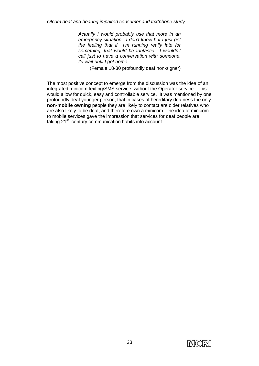*Actually I would probably use that more in an emergency situation. I don't know but I just get the feeling that if I'm running really late for something, that would be fantastic. I wouldn't call just to have a conversation with someone. I'd wait until I got home.* 

(Female 18-30 profoundly deaf non-signer)

The most positive concept to emerge from the discussion was the idea of an integrated minicom texting/SMS service, without the Operator service. This would allow for quick, easy and controllable service. It was mentioned by one profoundly deaf younger person, that in cases of hereditary deafness the only **non-mobile owning** people they are likely to contact are older relatives who are also likely to be deaf, and therefore own a minicom. The idea of minicom to mobile services gave the impression that services for deaf people are taking  $21<sup>st</sup>$  century communication habits into account.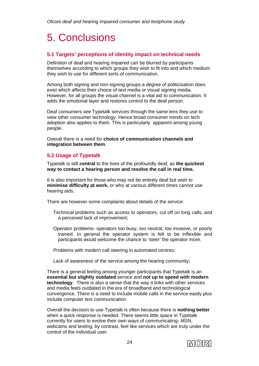## 5. Conclusions

### **5.1 Targets' perceptions of identity impact on technical needs**

Definition of deaf and hearing impaired can be blurred by participants themselves according to which groups they wish to fit into and which medium they wish to use for different sorts of communication.

Among both signing and non-signing groups a degree of politicisation does exist which affects their choice of text media or visual signing media. However, for all groups the visual channel is a vital aid to communication. It adds the emotional layer and restores control to the deaf person.

Deaf consumers see Typetalk services through the same lens they use to view other consumer technology. Hence broad consumer trends on tech adoption also applies to them. This is particularly apparent among young people.

Overall there is a need for **choice of communication channels and integration between them**.

### **5.2 Usage of Typetalk**

Typetalk is still **central** to the lives of the profoundly deaf, as **the quickest way to contact a hearing person and resolve the call in real time.** 

It is also important for those who may not be entirely deaf but wish to **minimise difficulty at work**, or who at various different times cannot use hearing aids.

There are however some complaints about details of the service:

- Technical problems such as access to operators, cut off on long calls, and a perceived lack of improvement;
- Operator problems- operators too busy, too neutral, too invasive, or poorly trained. In general the operator system is felt to be inflexible and participants would welcome the chance to 'steer' the operator more.

Problems with modern call steering in automated centres;

Lack of awareness of the service among the hearing community;

There is a general feeling among younger participants that Typetalk is an **essential but slightly outdated** service and **not up to speed with modern technology**. There is also a sense that the way it links with other services and media feels outdated in the era of broadband and technological convergence. There is a need to include mobile calls in the service easily plus include computer text communication.

Overall the decision to use Typetalk is often because there is **nothing better** when a quick response is needed. There seems little space in Typetalk currently for users to evolve their own ways of communicating- MSN, webcams and texting, by contrast, feel like services which are truly under the control of the individual user.

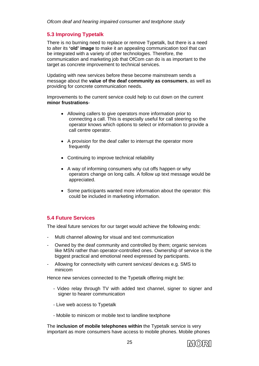### **5.3 Improving Typetalk**

There is no burning need to replace or remove Typetalk, but there is a need to alter its **'old' image** to make it an appealing communication tool that can be integrated with a variety of other technologies. Therefore, the communication and marketing job that OfCom can do is as important to the target as concrete improvement to technical services.

Updating with new services before these become mainstream sends a message about the **value of the deaf community as consumers**, as well as providing for concrete communication needs.

Improvements to the current service could help to cut down on the current **minor frustrations**-

- Allowing callers to give operators more information prior to connecting a call. This is especially useful for call steering so the operator knows which options to select or information to provide a call centre operator.
- A provision for the deaf caller to interrupt the operator more frequently
- Continuing to improve technical reliability
- A way of informing consumers why cut offs happen or why operators change on long calls. A follow up text message would be appreciated.
- Some participants wanted more information about the operator: this could be included in marketing information.

### **5.4 Future Services**

The ideal future services for our target would achieve the following ends:

- Multi channel allowing for visual and text communication
- Owned by the deaf community and controlled by them; organic services like MSN rather than operator-controlled ones. Ownership of service is the biggest practical and emotional need expressed by participants.
- Allowing for connectivity with current services/ devices e.g. SMS to minicom

Hence new services connected to the Typetalk offering might be:

- Video relay through TV with added text channel, signer to signer and signer to hearer communication
- Live web access to Typetalk
- Mobile to minicom or mobile text to landline textphone

The **inclusion of mobile telephones within** the Typetalk service is very important as more consumers have access to mobile phones. Mobile phones

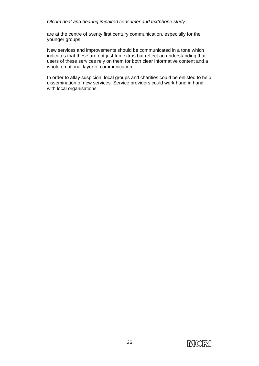are at the centre of twenty first century communication, especially for the younger groups.

New services and improvements should be communicated in a tone which indicates that these are not just fun extras but reflect an understanding that users of these services rely on them for both clear informative content and a whole emotional layer of communication.

In order to allay suspicion, local groups and charities could be enlisted to help dissemination of new services. Service providers could work hand in hand with local organisations.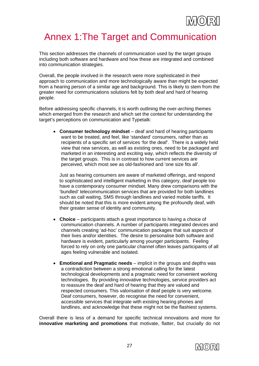

### Annex 1:The Target and Communication

This section addresses the channels of communication used by the target groups including both software and hardware and how these are integrated and combined into communication strategies.

Overall, the people involved in the research were more sophisticated in their approach to communication and more technologically aware than might be expected from a hearing person of a similar age and background. This is likely to stem from the greater need for communications solutions felt by both deaf and hard of hearing people.

Before addressing specific channels, it is worth outlining the over-arching themes which emerged from the research and which set the context for understanding the target's perceptions on communication and Typetalk:

• **Consumer technology mindset** – deaf and hard of hearing participants want to be treated, and feel, like 'standard' consumers, rather than as recipients of a specific set of services 'for the deaf'. There is a widely held view that new services, as well as existing ones, need to be packaged and marketed in an interesting and exciting way, which reflects the diversity of the target groups. This is in contrast to how current services are perceived, which most see as old-fashioned and 'one size fits all'.

Just as hearing consumers are aware of marketed offerings, and respond to sophisticated and intelligent marketing in this category, deaf people too have a contemporary consumer mindset. Many drew comparisons with the 'bundled' telecommunication services that are provided for both landlines such as call waiting, SMS through landlines and varied mobile tariffs. It should be noted that this is more evident among the profoundly deaf, with their greater sense of identity and community.

- **Choice** participants attach a great importance to having a choice of communication channels. A number of participants integrated devices and channels creating 'ad-hoc' communication packages that suit aspects of their lives and/or identities. The desire to personalise both software and hardware is evident, particularly among younger participants. Feeling forced to rely on only one particular channel often leaves participants of all ages feeling vulnerable and isolated.
- **Emotional and Pragmatic needs** implicit in the groups and depths was a contradiction between a strong emotional calling for the latest technological developments and a pragmatic need for convenient working technologies. By providing innovative technologies, service providers act to reassure the deaf and hard of hearing that they are valued and respected consumers. This valorisation of deaf people is very welcome. Deaf consumers, however, do recognise the need for convenient, accessible services that integrate with existing hearing phones and landlines, and acknowledge that these might not be the flashiest systems.

Overall there is less of a demand for specific technical innovations and more for **innovative marketing and promotions** that motivate, flatter, but crucially do not

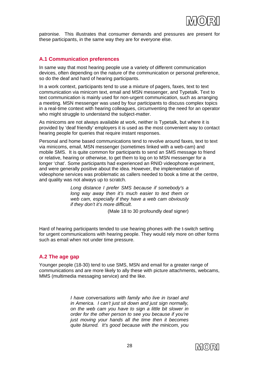

patronise. This illustrates that consumer demands and pressures are present for these participants, in the same way they are for everyone else.

### **A.1 Communication preferences**

In same way that most hearing people use a variety of different communication devices, often depending on the nature of the communication or personal preference, so do the deaf and hard of hearing participants.

In a work context, participants tend to use a mixture of pagers, faxes, text to text communication via minicom text, email and MSN messenger, and Typetalk. Text to text communication is mainly used for non-urgent communication, such as arranging a meeting. MSN messenger was used by four participants to discuss complex topics in a real-time context with hearing colleagues, circumventing the need for an operator who might struggle to understand the subject-matter.

As minicoms are not always available at work, neither is Typetalk, but where it is provided by 'deaf friendly' employers it is used as the most convenient way to contact hearing people for queries that require instant responses.

Personal and home based communications tend to revolve around faxes, text to text via minicoms, email, MSN messenger (sometimes linked with a web-cam) and mobile SMS. It is quite common for participants to send an SMS message to friend or relative, hearing or otherwise, to get them to log on to MSN messenger for a longer 'chat'. Some participants had experienced an RNID videophone experiment, and were generally positive about the idea. However, the implementation of videophone services was problematic as callers needed to book a time at the centre, and quality was not always up to scratch.

> *Long distance I prefer SMS because if somebody's a long way away then it's much easier to text them or web cam, especially if they have a web cam obviously if they don't it's more difficult.*

> > (Male 18 to 30 profoundly deaf signer)

Hard of hearing participants tended to use hearing phones with the t-switch setting for urgent communications with hearing people. They would rely more on other forms such as email when not under time pressure.

### **A.2 The age gap**

Younger people (18-30) tend to use SMS, MSN and email for a greater range of communications and are more likely to ally these with picture attachments, webcams, MMS (multimedia messaging service) and the like.

> *I have conversations with family who live in Israel and in America. I can't just sit down and just sign normally, on the web cam you have to sign a little bit slower in order for the other person to see you because if you're just moving your hands all the time then it becomes quite blurred. It's good because with the minicom, you*

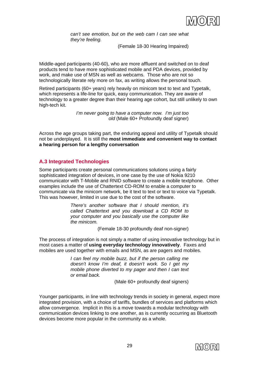

*can't see emotion, but on the web cam I can see what they're feeling.* 

(Female 18-30 Hearing Impaired)

Middle-aged participants (40-60), who are more affluent and switched on to deaf products tend to have more sophisticated mobile and PDA devices, provided by work, and make use of MSN as well as webcams. Those who are not so technologically literate rely more on fax, as writing allows the personal touch.

Retired participants (60+ years) rely heavily on minicom text to text and Typetalk, which represents a life-line for quick, easy communication. They are aware of technology to a greater degree than their hearing age cohort, but still unlikely to own high-tech kit.

> *I'm never going to have a computer now. I'm just too old* (Male 60+ Profoundly deaf signer)

Across the age groups taking part, the enduring appeal and utility of Typetalk should not be underplayed. It is still the **most immediate and convenient way to contact a hearing person for a lengthy conversation**

### **A.3 Integrated Technologies**

Some participants create personal communications solutions using a fairly sophisticated integration of devices, in one case by the use of Nokia 9210 communicator with T-Mobile and RNID software to create a mobile textphone. Other examples include the use of Chattertext CD-ROM to enable a computer to communicate via the minicom network, be it text to text or text to voice via Typetalk. This was however, limited in use due to the cost of the software.

> *There's another software that I should mention, it's called Chattertext and you download a CD ROM to your computer and you basically use the computer like the minicom.*

> > (Female 18-30 profoundly deaf non-signer)

The process of integration is not simply a matter of using innovative technology but in most cases a matter of **using everyday technology innovatively**. Faxes and mobiles are used together with emails and MSN, as are pagers and mobiles.

> *I can feel my mobile buzz, but if the person calling me doesn't know I'm deaf, it doesn't work. So I get my mobile phone diverted to my pager and then I can text or email back.*

> > (Male 60+ profoundly deaf signers)

Younger participants, in line with technology trends in society in general, expect more integrated provision, with a choice of tariffs, bundles of services and platforms which allow convergence. Implicit in this is a move towards a modular technology with communication devices linking to one another, as is currently occurring as Bluetooth devices become more popular in the community as a whole.

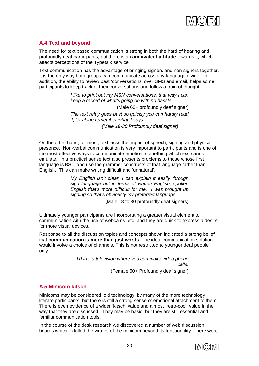

### **A.4 Text and beyond**

The need for text based communication is strong in both the hard of hearing and profoundly deaf participants, but there is an **ambivalent attitude** towards it, which affects perceptions of the Typetalk service.

Text communication has the advantage of bringing signers and non-signers together. It is the only way both groups can communicate across any language divide. In addition, the ability to review past 'conversations' over SMS and email, helps some participants to keep track of their conversations and follow a train of thought.

> *I like to print out my MSN conversations, that way I can keep a record of what's going on with no hassle.*  (Male 60+ profoundly deaf signer) *The text relay goes past so quickly you can hardly read it, let alone remember what it says. (Male 18-30 Profoundly deaf signer)*

On the other hand, for most, text lacks the impact of speech, signing and physical presence. Non-verbal communication is very important to participants and is one of the most effective ways to communicate emotion, something which text cannot emulate. In a practical sense text also presents problems to those whose first language is BSL, and use the grammer constructs of that language rather than English. This can make writing difficult and 'unnatural'.

> *My English isn't clear, I can explain it easily through sign language but in terms of written English, spoken English that's more difficult for me. I was brought up signing so that's obviously my preferred language*  (Male 18 to 30 profoundly deaf signers)

Ultimately younger participants are incorporating a greater visual element to communication with the use of webcams, etc, and they are quick to express a desire for more visual devices.

Response to all the discussion topics and concepts shown indicated a strong belief that **communication is more than just words**. The ideal communication solution would involve a choice of channels. This is not restricted to younger deaf people only.

> *I'd like a television where you can make video phone calls.*

(Female 60+ Profoundly deaf signer)

### **A.5 Minicom kitsch**

Minicoms may be considered 'old technology' by many of the more technology literate participants, but there is still a strong sense of emotional attachment to them. There is even evidence of a wider 'kitsch' value and almost 'retro-cool' value in the way that they are discussed. They may be basic, but they are still essential and familiar communication tools.

In the course of the desk research we discovered a number of web discussion boards which extolled the virtues of the minicom beyond its functionality. There were

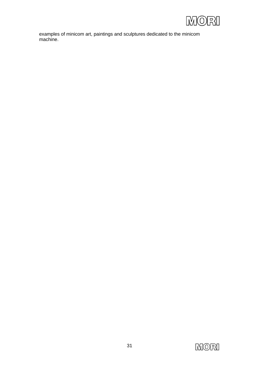

examples of minicom art, paintings and sculptures dedicated to the minicom machine.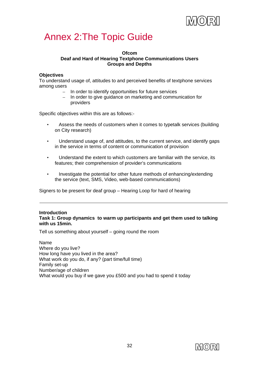

### Annex 2:The Topic Guide

### **Ofcom Deaf and Hard of Hearing Textphone Communications Users Groups and Depths**

### **Objectives**

To understand usage of, attitudes to and perceived benefits of textphone services among users

- In order to identify opportunities for future services
- In order to give guidance on marketing and communication for providers

Specific objectives within this are as follows:-

- Assess the needs of customers when it comes to typetalk services (building on City research)
- Understand usage of, and attitudes, to the current service, and identify gaps in the service in terms of content or communication of provision
- Understand the extent to which customers are familiar with the service, its features; their comprehension of provider's communications
- Investigate the potential for other future methods of enhancing/extending the service (text, SMS, Video, web-based communications)

Signers to be present for deaf group – Hearing Loop for hard of hearing

#### **Introduction Task 1: Group dynamics to warm up participants and get them used to talking with us 15min.**

Tell us something about yourself – going round the room

Name Where do you live? How long have you lived in the area? What work do you do, if any? (part time/full time) Family set-up Number/age of children What would you buy if we gave you £500 and you had to spend it today

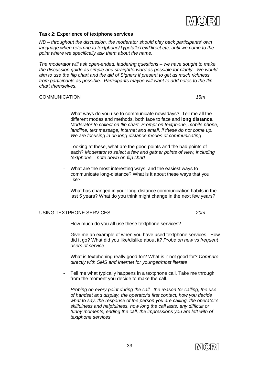

#### **Task 2: Experience of textphone services**

*NB – throughout the discussion, the moderator should play back participants' own language when referring to textphone/Typetalk/TextDirect etc, until we come to the point where we specifically ask them about the name..* 

*The moderator will ask open-ended, laddering questions – we have sought to make the discussion guide as simple and straightforward as possible for clarity. We would aim to use the flip chart and the aid of Signers if present to get as much richness from participants as possible. Participants maybe will want to add notes to the flip chart themselves.* 

### COMMUNICATION *15m*

- What ways do you use to communicate nowadays? Tell me all the different modes and methods, both face to face and **long distance**. *Moderator to collect on flip chart Prompt on textphone, mobile phone, landline, text message, internet and email, if these do not come up. We are focusing in on long-distance modes of communicating*
- Looking at these, what are the good points and the bad points of each? *Moderator to select a few and gather points of view, including textphone – note down on flip chart*
- What are the most interesting ways, and the easiest ways to communicate long-distance? What is it about these ways that you like?
- What has changed in your long-distance communication habits in the last 5 years? What do you think might change in the next few years?

### USING TEXTPHONE SERVICES *20m*

- How much do you all use these textphone services?
- Give me an example of when you have used textphone services. How did it go? What did you like/dislike about it? *Probe on new vs frequent users of service*
- What is textphoning really good for? What is it not good for? *Compare directly with SMS and Internet for younger/most literate*
- Tell me what typically happens in a textphone call. Take me through from the moment you decide to make the call.

*Probing on every point during the call– the reason for calling, the use of handset and display, the operator's first contact, how you decide what to say, the response of the person you are calling, the operator's skilfulness and helpfulness, how long the call lasts, any difficult or funny moments, ending the call, the impressions you are left with of textphone services* 

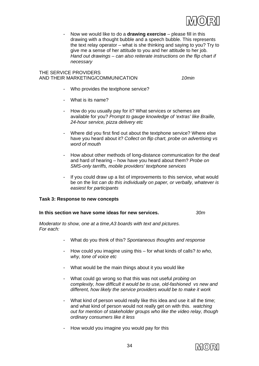

- Now we would like to do a **drawing exercise** – please fill in this drawing with a thought bubble and a speech bubble. This represents the text relay operator – what is she thinking and saying to you? Try to give me a sense of her attitude to you and her attitude to her job. *Hand out drawings – can also reiterate instructions on the flip chart if necessary*

### THE SERVICE PROVIDERS AND THEIR MARKETING/COMMUNICATION *10min*

- Who provides the textphone service?
- What is its name?
- How do you usually pay for it? What services or schemes are available for you? *Prompt to gauge knowledge of 'extras' like Braille, 24-hour service, pizza delivery etc*
- Where did you first find out about the textphone service? Where else have you heard about it? *Collect on flip chart, probe on advertising vs word of mouth*
- How about other methods of long-distance communication for the deaf and hard of hearing – how have you heard about them? *Probe on SMS-only tarriffs, mobile providers' textphone services*
- If you could draw up a list of improvements to this service, what would be on the list *can do this individually on paper, or verbally, whatever is easiest for participants*

#### **Task 3: Response to new concepts**

#### **In this section we have some ideas for new services.** *30m*

*Moderator to show, one at a time,A3 boards with text and pictures. For each:* 

- What do you think of this? *Spontaneous thoughts and response*
- How could you imagine using this for what kinds of calls? *to who, why, tone of voice etc*
- What would be the main things about it you would like
- What could go wrong so that this was not useful *probing on complexity, how difficult it would be to use, old-fashioned vs new and different, how likely the service providers would be to make it work*
- What kind of person would really like this idea and use it all the time; and what kind of person would not really get on with this. *watching out for mention of stakeholder groups who like the video relay, though ordinary consumers like it less*
- How would you imagine you would pay for this

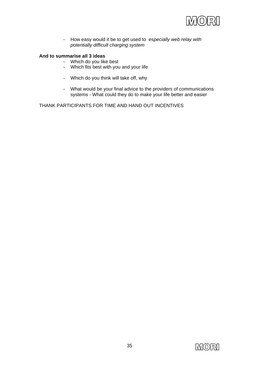

- How easy would it be to get used to *especially web relay with potentially difficult charging system* 

### **And to summarise all 3 ideas**

- Which do you like best
- Which fits best with you and your life
- Which do you think will take off, why
- What would be your final advice to the providers of communications systems - What could they do to make your life better and easier

THANK PARTICIPANTS FOR TIME AND HAND OUT INCENTIVES